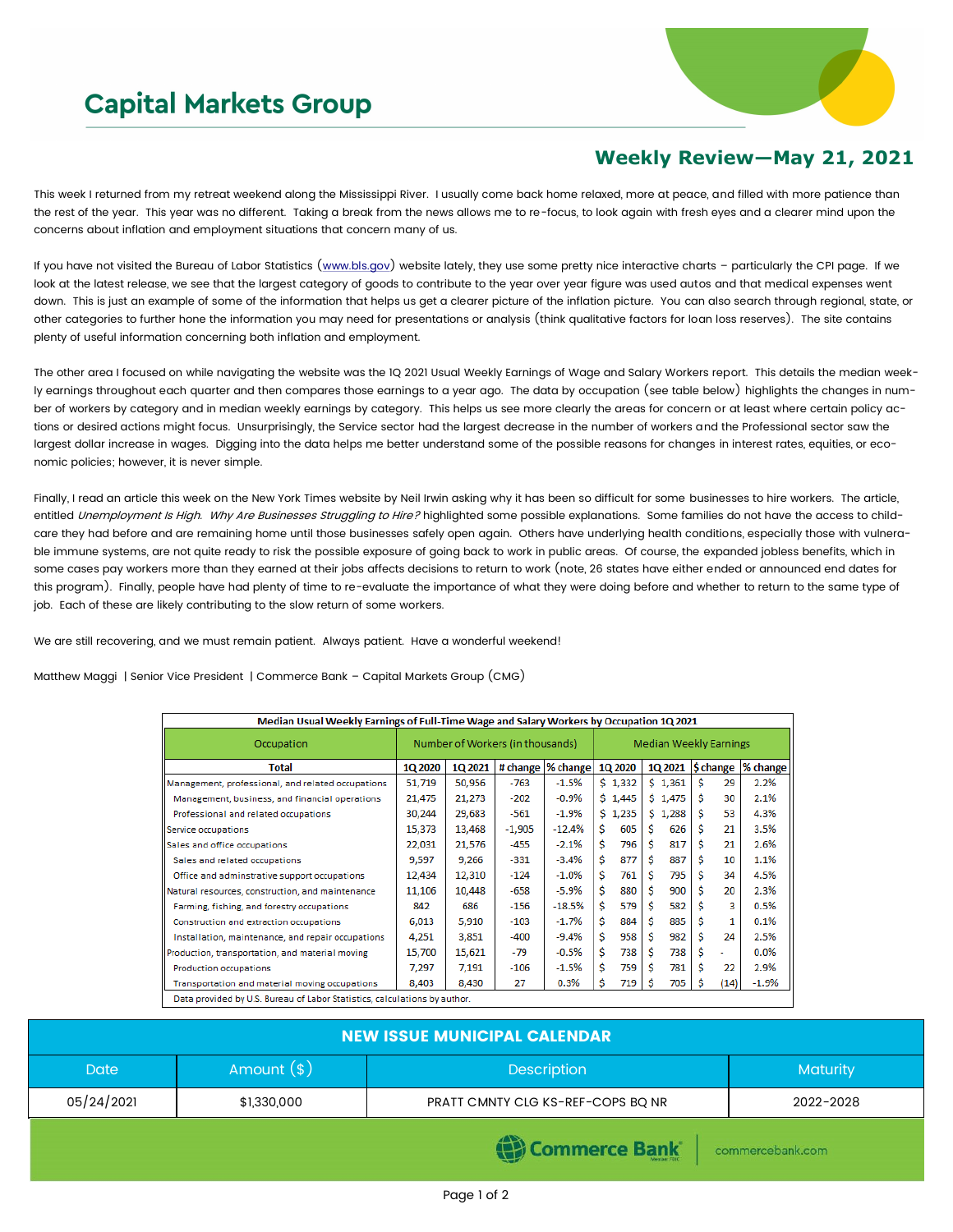## **Capital Markets Group**



## **Weekly Review—May 21, 2021**

This week I returned from my retreat weekend along the Mississippi River. I usually come back home relaxed, more at peace, and filled with more patience than the rest of the year. This year was no different. Taking a break from the news allows me to re-focus, to look again with fresh eyes and a clearer mind upon the concerns about inflation and employment situations that concern many of us.

If you have not visited the Bureau of Labor Statistics [\(www.bls.gov\)](http://www.bls.gov) website lately, they use some pretty nice interactive charts - particularly the CPI page. If we look at the latest release, we see that the largest category of goods to contribute to the year over year figure was used autos and that medical expenses went down. This is just an example of some of the information that helps us get a clearer picture of the inflation picture. You can also search through regional, state, or other categories to further hone the information you may need for presentations or analysis (think qualitative factors for loan loss reserves). The site contains plenty of useful information concerning both inflation and employment.

The other area I focused on while navigating the website was the 1Q 2021 Usual Weekly Earnings of Wage and Salary Workers report. This details the median weekly earnings throughout each quarter and then compares those earnings to a year ago. The data by occupation (see table below) highlights the changes in number of workers by category and in median weekly earnings by category. This helps us see more clearly the areas for concern or at least where certain policy actions or desired actions might focus. Unsurprisingly, the Service sector had the largest decrease in the number of workers and the Professional sector saw the largest dollar increase in wages. Digging into the data helps me better understand some of the possible reasons for changes in interest rates, equities, or economic policies; however, it is never simple.

Finally, I read an article this week on the New York Times website by Neil Irwin asking why it has been so difficult for some businesses to hire workers. The article, entitled Unemployment Is High. Why Are Businesses Struggling to Hire? highlighted some possible explanations. Some families do not have the access to childcare they had before and are remaining home until those businesses safely open again. Others have underlying health conditions, especially those with vulnerable immune systems, are not quite ready to risk the possible exposure of going back to work in public areas. Of course, the expanded jobless benefits, which in some cases pay workers more than they earned at their jobs affects decisions to return to work (note, 26 states have either ended or announced end dates for this program). Finally, people have had plenty of time to re-evaluate the importance of what they were doing before and whether to return to the same type of job. Each of these are likely contributing to the slow return of some workers.

We are still recovering, and we must remain patient. Always patient. Have a wonderful weekend!

Matthew Maggi | Senior Vice President | Commerce Bank – Capital Markets Group (CMG)

| Median Usual Weekly Earnings of Full-Time Wage and Salary Workers by Occupation 1Q 2021 |                                  |         |          |                    |                               |         |    |         |    |           |          |
|-----------------------------------------------------------------------------------------|----------------------------------|---------|----------|--------------------|-------------------------------|---------|----|---------|----|-----------|----------|
| Occupation                                                                              | Number of Workers (in thousands) |         |          |                    | <b>Median Weekly Earnings</b> |         |    |         |    |           |          |
| <b>Total</b>                                                                            | 1Q 2020                          | 1Q 2021 |          | # change  % change |                               | 1Q 2020 |    | 10 2021 |    | \$ change | % change |
| Management, professional, and related occupations                                       | 51,719                           | 50,956  | $-763$   | $-1.5%$            |                               | \$1,332 |    | \$1,361 | Ś  | 29        | 2.2%     |
| Management, business, and financial operations                                          | 21,475                           | 21,273  | $-202$   | $-0.9%$            |                               | \$1,445 |    | \$1,475 | Ŝ. | 30        | 2.1%     |
| Professional and related occupations                                                    | 30,244                           | 29,683  | -561     | $-1.9\%$           |                               | \$1,235 |    | \$1,288 | \$ | 53        | 4.3%     |
| Service occupations                                                                     | 15,373                           | 13,468  | $-1,905$ | $-12.4%$           | Ŝ.                            | 605     | Ś  | 626     | Ś  | 21        | 3.5%     |
| Sales and office occupations                                                            | 22,031                           | 21,576  | $-455$   | $-2.1\%$           | Ŝ.                            | 796     | Ŝ  | 817     | Ś  | 21        | 2.6%     |
| Sales and related occupations                                                           | 9,597                            | 9,266   | -331     | $-3.4%$            | Ŝ                             | 877     | Ś. | 887     | Ś  | 10        | 1.1%     |
| Office and adminstrative support occupations                                            | 12,434                           | 12,310  | -124     | $-1.0\%$           | Ŝ                             | 761     | Ś  | 795     | Ś  | 34        | 4.5%     |
| Natural resources, construction, and maintenance                                        | 11,106                           | 10,448  | $-658$   | $-5.9%$            | Ŝ                             | 880     | Ś  | 900     | Ś  | 20        | 2.3%     |
| Farming, fishing, and forestry occupations                                              | 842                              | 686     | $-156$   | $-18.5%$           | Ŝ.                            | 579     | Ś. | 582     | Ś  | 3         | 0.5%     |
| Construction and extraction occupations                                                 | 6,013                            | 5,910   | $-103$   | $-1.7%$            | Ŝ                             | 884     | Ś  | 885     | Ś  | 1         | 0.1%     |
| Installation, maintenance, and repair occupations                                       | 4,251                            | 3,851   | -400     | -9.4%              | Ŝ.                            | 958     | Ś  | 982     | Ś  | 24        | 2.5%     |
| Production, transportation, and material moving                                         | 15,700                           | 15,621  | -79      | $-0.5%$            | Ŝ                             | 738     | Ś. | 738     | \$ | ۰         | $0.0\%$  |
| Production occupations                                                                  | 7,297                            | 7,191   | -106     | $-1.5%$            | \$                            | 759     | Ś  | 781     | Ś  | 22        | 2.9%     |
| Transportation and material moving occupations                                          | 8,403                            | 8,430   | 27       | 0.3%               | \$                            | 719     | Ŝ  | 705     | S  | (14)      | $-1.9%$  |
| Data provided by U.S. Bureau of Labor Statistics, calculations by author.               |                                  |         |          |                    |                               |         |    |         |    |           |          |

| <b>NEW ISSUE MUNICIPAL CALENDAR</b> |              |                                   |                 |  |  |  |  |
|-------------------------------------|--------------|-----------------------------------|-----------------|--|--|--|--|
| <b>Date</b>                         | Amount $(*)$ | <b>Description</b>                | <b>Maturity</b> |  |  |  |  |
| 05/24/2021                          | \$1,330,000  | PRATT CMNTY CLG KS-REF-COPS BQ NR | 2022-2028       |  |  |  |  |
|                                     |              | <b>STATISTICS</b>                 |                 |  |  |  |  |

**(음) Commerce Bank** 

commercebank.com